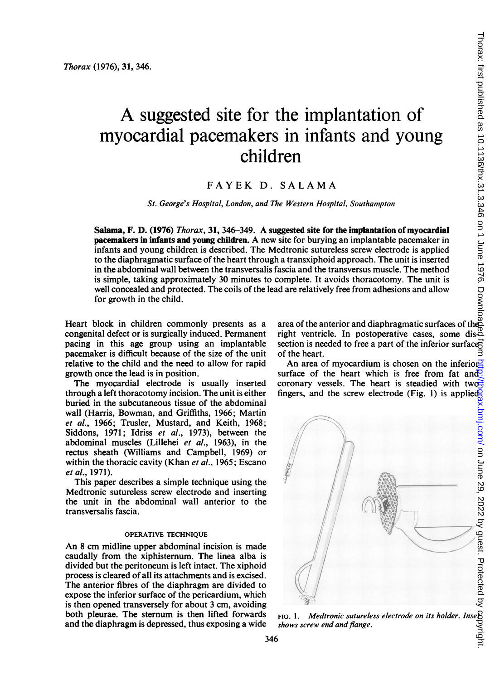# A suggested site for the implantation of myocardial pacemakers in infants and young children

# FAYEK D. SALAMA

St. George's Hospital, London, and The Western Hospital, Southampton

Salama, F. D. (1976) Thorax, 31, 346-349. A suggested site for the implantation of myocardial pacemakers in infants and young children. A new site for burying an implantable pacemaker in infants and young children is described. The Medtronic sutureless screw electrode is applied to the diaphragmatic surface of the heart through a transxiphoid approach. The unit is inserted in the abdominal wall between the transversalis fascia and the transversus muscle. The method is simple, taking approximately 30 minutes to complete. It avoids thoracotomy. The unit is well concealed and protected. The coils of the lead are relatively free from adhesions and allow for growth in the child.

Heart block in children commonly presents as a congenital defect or is surgically induced. Permanent pacing in this age group using an implantable pacemaker is difficult because of the size of the unit relative to the child and the need to allow for rapid growth once the lead is in position.

The myocardial electrode is usually inserted through a left thoracotomy incision. The unit is either buried in the subcutaneous tissue of the abdominal wall (Harris, Bowman, and Griffiths, 1966; Martin et al., 1966; Trusler, Mustard, and Keith, 1968; Siddons, 1971; Idriss et al., 1973), between the abdominal muscles (Lillehei et al., 1963), in the rectus sheath (Williams and Campbell, 1969) or within the thoracic cavity (Khan et al., 1965; Escano et al., 1971).

This paper describes a simple technique using the Medtronic sutureless screw electrode and inserting the unit in the abdominal wall anterior to the transversalis fascia.

## OPERATIVE TECHNIQUE

An <sup>8</sup> cm midline upper abdominal incision is made caudally from the xiphisternum. The linea alba is divided but the peritoneum is left intact. The xiphoid process is cleared of all its attachments and is excised. The anterior fibres of the diaphragm are divided to expose the inferior surface of the pericardium, which is then opened transversely for about 3 cm, avoiding both pleurae. The sternum is then lifted forwards and the diaphragm is depressed, thus exposing a wide

area of the anterior and diaphragmatic surfaces of the right ventricle. In postoperative cases, some dissection is needed to free a part of the inferior surface of the heart.

An area of myocardium is chosen on the inferiorsurface of the heart which is free from fat and  $\overline{P}$ . coronary vessels. The heart is steadied with two fingers, and the screw electrode (Fig. 1) is applied $\overline{Q}$ 



shows screw end and flange.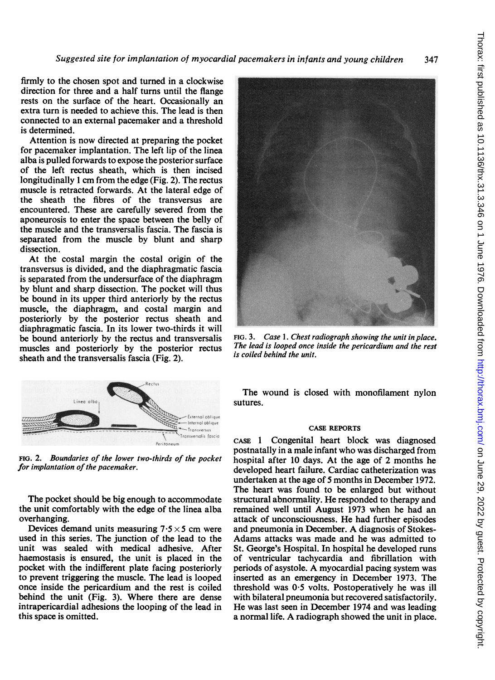Suggested site for implantation of myocardial pacemakers in infants and young children 347

firmly to the chosen spot and turned in a clockwise direction for three and a half turns until the flange rests on the surface of the heart. Occasionally an extra turn is needed to achieve this. The lead is then connected to an external pacemaker and a threshold is determined.

Attention is now directed at preparing the pocket for pacemaker implantation. The left lip of the linea alba is pulled forwards to expose the posterior surface of the left rectus sheath, which is then incised longitudinally <sup>1</sup> cm from the edge (Fig. 2). The rectus muscle is retracted forwards. At the lateral edge of the sheath the fibres of the transversus are encountered. These are carefully severed from the aponeurosis to enter the space between the belly of the muscle and the transversalis fascia. The fascia is separated from the muscle by blunt and sharp dissection.

At the costal margin the costal origin of the transversus is divided, and the diaphragmatic fascia is separated from the undersurface of the diaphragm by blunt and sharp dissection. The pocket will thus be bound in its upper third anteriorly by the rectus muscle, the diaphragm, and costal margin and posteriorly by the posterior rectus sheath and diaphragmatic fascia. In its lower two-thirds it will be bound anteriorly by the rectus and transversalis muscles and posteriorly by the posterior rectus sheath and the transversalis fascia (Fig. 2).



FIG. 2. Boundaries of the lower two-thirds of the pocket for implantation of the pacemaker.

The pocket should be big enough to accommodate the unit comfortably with the edge of the linea alba overhanging.

Devices demand units measuring  $7.5 \times 5$  cm were used in this series. The junction of the lead to the unit was sealed with medical adhesive. After haemostasis is ensured, the unit is placed in the pocket with the indifferent plate facing posteriorly to prevent triggering the muscle. The lead is looped once inside the pericardium and the rest is coiled behind the unit (Fig. 3). Where there are dense intrapericardial adhesions the looping of the lead in this space is omitted.



FIG. 3. Case l. Chest radiograph showing the unit in place. The lead is looped once inside the pericardium and the rest is coiled behind the unit.

The wound is closed with monofilament nylon sutures.

#### CASE REPORTS

CASE <sup>1</sup> Congenital heart block was diagnosed postnatally in a male infant who was discharged from hospital after 10 days. At the age of 2 months he developed heart failure. Cardiac catheterization was undertaken at the age of 5 months in December 1972. The heart was found to be enlarged but without structural abnormality. He responded to therapy and remained well until August 1973 when he had an attack of unconsciousness. He had further episodes and pneumonia in December. A diagnosis of Stokes-Adams attacks was made and he was admitted to St. George's Hospital. In hospital he developed runs of ventricular tachycardia and fibrillation with periods of asystole. A myocardial pacing system was inserted as an emergency in December 1973. The threshold was  $0.5$  volts. Postoperatively he was ill with bilateral pneumonia but recovered satisfactorily. He was last seen in December 1974 and was leading <sup>a</sup> normal life. A radiograph showed the unit in place.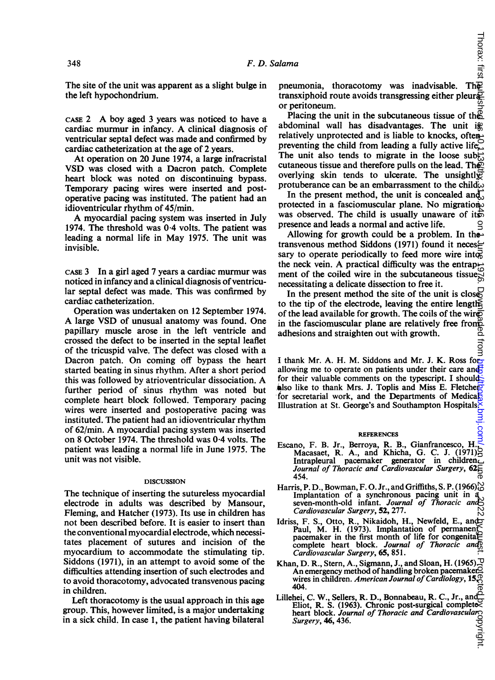The site of the unit was apparent as a slight bulge in the left hypochondrium.

CASE <sup>2</sup> A boy aged <sup>3</sup> years was noticed to have <sup>a</sup> cardiac murmur in infancy. A clinical diagnosis of ventricular septal defect was made and confirmed by cardiac catheterization at the age of 2 years.

At operation on 20 June 1974, <sup>a</sup> large infracristal VSD was closed with a Dacron patch. Complete heart block was noted on discontinuing bypass. Temporary pacing wires were inserted and postoperative pacing was instituted. The patient had an idioventricular rhythm of 45/min.

A myocardial pacing system was inserted in July 1974. The threshold was 0 4 volts. The patient was leading a normal life in May 1975. The unit was invisible.

CASE <sup>3</sup> In a girl aged 7 years a cardiac murmur was noticed in infancy and a clinical diagnosis of ventricular septal defect was made. This was confirmed by cardiac catheterization.

Operation was undertaken on 12 September 1974. A large VSD of unusual anatomy was found. One papillary muscle arose in the left ventricle and crossed the defect to be inserted in the septal leaflet of the tricuspid valve. The defect was closed with a Dacron patch. On coming off bypass the heart started beating in sinus rhythm. After a short period this was followed by atrioventricular dissociation. A further period of sinus rhythm was noted but complete heart block followed. Temporary pacing wires were inserted and postoperative pacing was instituted. The patient had an idioventricular rhythm of 62/min. A myocardial pacing system was inserted on 8 October 1974. The threshold was 0-4 volts. The patient was leading a normal life in June 1975. The unit was not visible.

### DISCUSSION

The technique of inserting the sutureless myocardial electrode in adults was described by Mansour, Fleming, and Hatcher (1973). Its use in children has not been described before. It is easier to insert than the conventional myocardial electrode, which necessitates placement of sutures and incision of the myocardium to accommodate the stimulating tip. Siddons (1971), in an attempt to avoid some of the difficulties attending insertion of such electrodes and to avoid thoracotomy, advocated transvenous pacing in children.

Left thoracotomy is the usual approach in this age group. This, however limited, is a major undertaking in a sick child. In case 1, the patient having bilateral

preumonia, thoracotomy was inadvisable. The<br>preumonia, thoracotomy was inadvisable. The transxiphoid route avoids transgressing either pleur $\overline{P}$ or peritoneum.

Placing the unit in the subcutaneous tissue of the abdominal wall has disadvantages. The unit is relatively unprotected and is liable to knocks, often preventing the child from leading a fully active life. The unit also tends to migrate in the loose subcutaneous tissue and therefore pulls on the lead. The  $\overline{P}$ overlying skin tends to ulcerate. The unsightl $\overline{\mathcal{C}}$ protuberance can be an embarrassment to the child $\hat{\omega}$  $\kappa$ on June 2022 by growing as  $\kappa$  as  $\kappa$  on  $\kappa$  on  $\kappa$  as  $\kappa$  on  $\kappa$  on  $\kappa$  as  $\kappa$  on  $\kappa$  as  $\kappa$  on  $\kappa$  on  $\kappa$  as  $\kappa$  on  $\kappa$  as  $\kappa$  on  $\kappa$  as  $\kappa$  on  $\kappa$  as  $\kappa$  as  $\kappa$  as  $\kappa$  as

In the present method, the unit is concealed and, protected in a fasciomuscular plane. No migration. was observed. The child is usually unaware of its presence and leads a normal and active life.

Allowing for growth could be a problem. In the transvenous method Siddons (1971) found it neces $\succeq$ sary to operate periodically to feed more wire into the neck vein. A practical difficulty was the entrapment of the coiled wire in the subcutaneous tissue, necessitating a delicate dissection to free it.

In the present method the site of the unit is close. to the tip of the electrode, leaving the entire length. of the lead available for growth. The coils of the wire in the fasciomuscular plane are relatively free from adhesions and straighten out with growth. adhesions and straighten out with growth.

I thank Mr. A. H. M. Siddons and Mr. J. K. Ross forallowing me to operate on patients under their care and for their valuable comments on the typescript. I should also like to thank Mrs. J. Toplis and Miss E. Fletchers for secretarial work, and the Departments of Medical Illustration at St. George's and Southampton Hospitals.

#### **REFERENCES**

- Escano, F. B. Jr., Berroya, R. B., Gianfrancesco, H., Macasaet, R. A., and Khicha, G. C. J. (1971) Intrapleural pacemaker generator in children. Journal of Thoracic and Cardiovascular Surgery, 62, 454.
- Harris, P. D., Bowman, F. O. Jr., and Griffiths, S. P. (1966). Implantation of a synchronous pacing unit in a<br>seven-month-old infant. Journal of Thoracic and Cardiovascular Surgery, 52, 277.
- Idriss, F. S., Otto, R., Nikaidoh, H., Newfeld, E., and Paul, M. H. (1973). Implantation of permanent pacemaker in the first month of life for congenital complete heart block. Journal of Thoracic and Cardiovascular Surgery, 65, 851.
- Khan, D. R., Stern, A., Sigmann, J., and Sloan, H. (1965). An emergency method of handling broken pacemaker? All effect gency include of handling proxed pacemaker.  $\pm$ <br>wires in children. American Journal of Cardiology, 15, 404.
- Lillehei, C. W., Sellers, R. D., Bonnabeau, R. C., Jr., and Eliot, R. S. (1963). Chronic post-surgical complete Eliot, K. S. (1905). Curouse post-surgence and Cardiovasculars Surgery, 46, 436.

ಕ